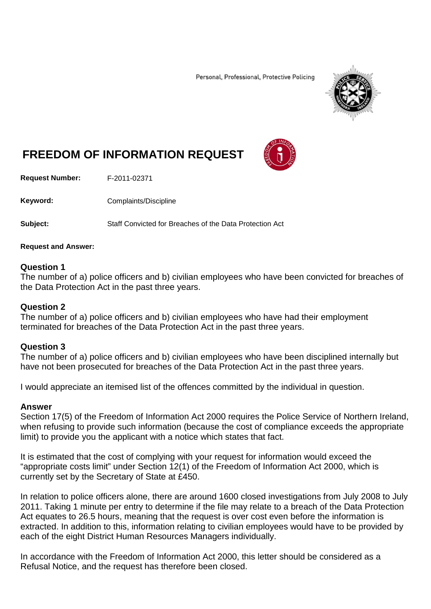Personal, Professional, Protective Policing



# **FREEDOM OF INFORMATION REQUEST**

**Request Number:** F-2011-02371

Keyword: Complaints/Discipline

**Subject:** Staff Convicted for Breaches of the Data Protection Act

#### **Request and Answer:**

## **Question 1**

The number of a) police officers and b) civilian employees who have been convicted for breaches of the Data Protection Act in the past three years.

## **Question 2**

The number of a) police officers and b) civilian employees who have had their employment terminated for breaches of the Data Protection Act in the past three years.

## **Question 3**

The number of a) police officers and b) civilian employees who have been disciplined internally but have not been prosecuted for breaches of the Data Protection Act in the past three years.

I would appreciate an itemised list of the offences committed by the individual in question.

#### **Answer**

Section 17(5) of the Freedom of Information Act 2000 requires the Police Service of Northern Ireland, when refusing to provide such information (because the cost of compliance exceeds the appropriate limit) to provide you the applicant with a notice which states that fact.

It is estimated that the cost of complying with your request for information would exceed the "appropriate costs limit" under Section 12(1) of the Freedom of Information Act 2000, which is currently set by the Secretary of State at £450.

In relation to police officers alone, there are around 1600 closed investigations from July 2008 to July 2011. Taking 1 minute per entry to determine if the file may relate to a breach of the Data Protection Act equates to 26.5 hours, meaning that the request is over cost even before the information is extracted. In addition to this, information relating to civilian employees would have to be provided by each of the eight District Human Resources Managers individually.

In accordance with the Freedom of Information Act 2000, this letter should be considered as a Refusal Notice, and the request has therefore been closed.